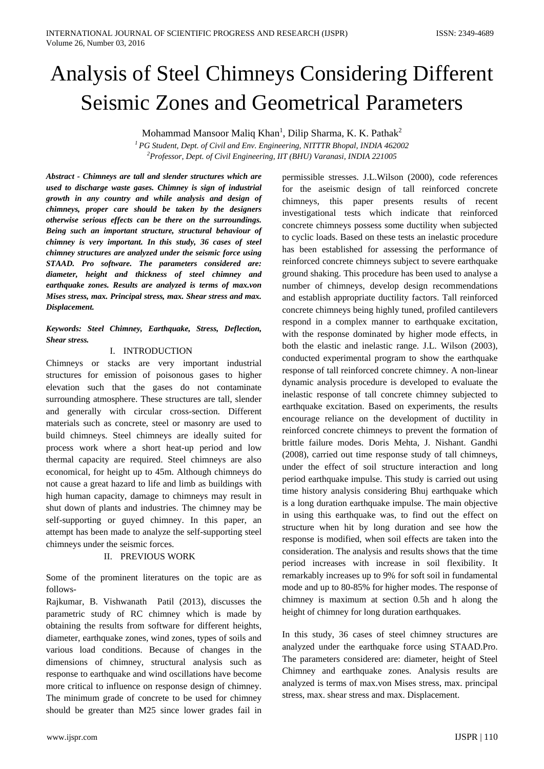# Analysis of Steel Chimneys Considering Different Seismic Zones and Geometrical Parameters

Mohammad Mansoor Maliq Khan<sup>1</sup>, Dilip Sharma, K. K. Pathak<sup>2</sup>

*1 PG Student, Dept. of Civil and Env. Engineering, NITTTR Bhopal, INDIA 462002 2 Professor, Dept. of Civil Engineering, IIT (BHU) Varanasi, INDIA 221005* 

*Abstract - Chimneys are tall and slender structures which are used to discharge waste gases. Chimney is sign of industrial growth in any country and while analysis and design of chimneys, proper care should be taken by the designers otherwise serious effects can be there on the surroundings. Being such an important structure, structural behaviour of chimney is very important. In this study, 36 cases of steel chimney structures are analyzed under the seismic force using STAAD. Pro software. The parameters considered are: diameter, height and thickness of steel chimney and earthquake zones. Results are analyzed is terms of max.von Mises stress, max. Principal stress, max. Shear stress and max. Displacement.*

# *Keywords: Steel Chimney, Earthquake, Stress, Deflection, Shear stress.*

# I. INTRODUCTION

Chimneys or stacks are very important industrial structures for emission of poisonous gases to higher elevation such that the gases do not contaminate surrounding atmosphere. These structures are tall, slender and generally with circular cross-section. Different materials such as concrete, steel or masonry are used to build chimneys. Steel chimneys are ideally suited for process work where a short heat-up period and low thermal capacity are required. Steel chimneys are also economical, for height up to 45m. Although chimneys do not cause a great hazard to life and limb as buildings with high human capacity, damage to chimneys may result in shut down of plants and industries. The chimney may be self-supporting or guyed chimney. In this paper, an attempt has been made to analyze the self-supporting steel chimneys under the seismic forces.

# II. PREVIOUS WORK

Some of the prominent literatures on the topic are as follows-

Rajkumar, B. Vishwanath Patil (2013), discusses the parametric study of RC chimney which is made by obtaining the results from software for different heights, diameter, earthquake zones, wind zones, types of soils and various load conditions. Because of changes in the dimensions of chimney, structural analysis such as response to earthquake and wind oscillations have become more critical to influence on response design of chimney. The minimum grade of concrete to be used for chimney should be greater than M25 since lower grades fail in

permissible stresses. J.L.Wilson (2000), code references for the aseismic design of tall reinforced concrete chimneys, this paper presents results of recent investigational tests which indicate that reinforced concrete chimneys possess some ductility when subjected to cyclic loads. Based on these tests an inelastic procedure has been established for assessing the performance of reinforced concrete chimneys subject to severe earthquake ground shaking. This procedure has been used to analyse a number of chimneys, develop design recommendations and establish appropriate ductility factors. Tall reinforced concrete chimneys being highly tuned, profiled cantilevers respond in a complex manner to earthquake excitation, with the response dominated by higher mode effects, in both the elastic and inelastic range. J.L. Wilson (2003), conducted experimental program to show the earthquake response of tall reinforced concrete chimney. A non-linear dynamic analysis procedure is developed to evaluate the inelastic response of tall concrete chimney subjected to earthquake excitation. Based on experiments, the results encourage reliance on the development of ductility in reinforced concrete chimneys to prevent the formation of brittle failure modes. Doris Mehta, J. Nishant. Gandhi (2008), carried out time response study of tall chimneys, under the effect of soil structure interaction and long period earthquake impulse. This study is carried out using time history analysis considering Bhuj earthquake which is a long duration earthquake impulse. The main objective in using this earthquake was, to find out the effect on structure when hit by long duration and see how the response is modified, when soil effects are taken into the consideration. The analysis and results shows that the time period increases with increase in soil flexibility. It remarkably increases up to 9% for soft soil in fundamental mode and up to 80-85% for higher modes. The response of chimney is maximum at section 0.5h and h along the height of chimney for long duration earthquakes.

In this study, 36 cases of steel chimney structures are analyzed under the earthquake force using STAAD.Pro. The parameters considered are: diameter, height of Steel Chimney and earthquake zones. Analysis results are analyzed is terms of max.von Mises stress, max. principal stress, max. shear stress and max. Displacement.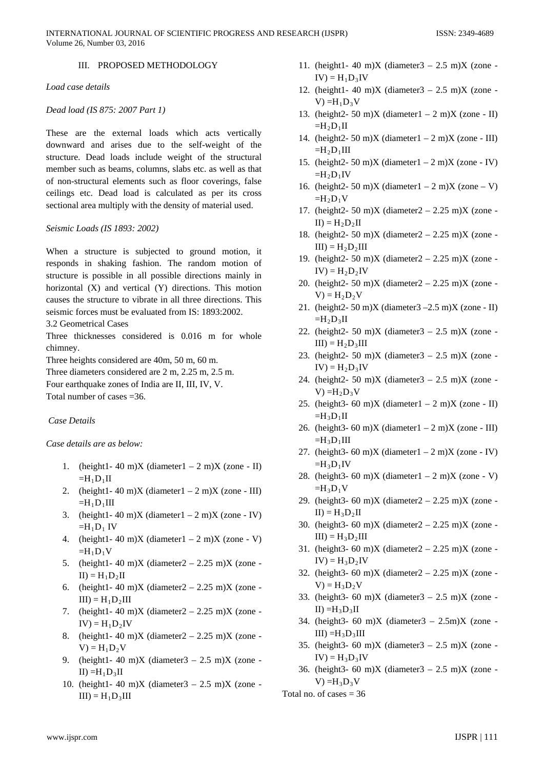# III. PROPOSED METHODOLOGY

*Load case details* 

#### *Dead load (IS 875: 2007 Part 1)*

These are the external loads which acts vertically downward and arises due to the self-weight of the structure. Dead loads include weight of the structural member such as beams, columns, slabs etc. as well as that of non-structural elements such as floor coverings, false ceilings etc. Dead load is calculated as per its cross sectional area multiply with the density of material used.

#### *Seismic Loads (IS 1893: 2002)*

When a structure is subjected to ground motion, it responds in shaking fashion. The random motion of structure is possible in all possible directions mainly in horizontal (X) and vertical (Y) directions. This motion causes the structure to vibrate in all three directions. This seismic forces must be evaluated from IS: 1893:2002.

## 3.2 Geometrical Cases

Three thicknesses considered is 0.016 m for whole chimney.

Three heights considered are 40m, 50 m, 60 m.

Three diameters considered are 2 m, 2.25 m, 2.5 m.

Four earthquake zones of India are II, III, IV, V.

Total number of cases =36.

# *Case Details*

## *Case details are as below:*

- 1. (height1- 40 m)X (diameter1 2 m)X (zone II)  $=H_1D_1II$
- 2. (height1-40 m)X (diameter1 2 m)X (zone III)  $=H_1D_1III$
- 3. (height1-40 m)X (diameter1 2 m)X (zone IV)  $=H_1D_1$  IV
- 4. (height1-40 m)X (diameter1 2 m)X (zone V)  $=H_1D_1V$
- 5. (height1- 40 m)X (diameter2 2.25 m)X (zone - $II$ ) =  $H_1D_2II$
- 6. (height1- 40 m)X (diameter2 2.25 m)X (zone - $III$ ) =  $H_1D_2III$
- 7. (height1-40 m)X (diameter2 2.25 m)X (zone - $IV$ ) =  $H_1D_2IV$
- 8. (height1- 40 m)X (diameter2 2.25 m)X (zone - $V = H_1D_2V$
- 9. (height1- 40 m)X (diameter3  $2.5$  m)X (zone - $II$ ) = $H_1D_3II$
- 10. (height1- 40 m)X (diameter $3 2.5$  m)X (zone - $III$ ) =  $H_1D_3III$
- 11. (height1- 40 m)X (diameter3 2.5 m)X (zone - $IV$ ) =  $H_1D_3IV$
- 12. (height1- 40 m)X (diameter $3 2.5$  m)X (zone - $V$ ) = $H_1D_3V$
- 13. (height2- 50 m)X (diameter1 2 m)X (zone II)  $=H_2D_1II$
- 14. (height 2- 50 m) X (diameter  $1 2$  m) X (zone III)  $=H_2D_1III$
- 15. (height2- 50 m)X (diameter1 2 m)X (zone IV)  $=H_2D_1IV$
- 16. (height 2- 50 m) X (diameter  $1 2$  m) X (zone V)  $=H_2D_1V$
- 17. (height2- 50 m)X (diameter2 2.25 m)X (zone - $II$ ) =  $H_2D_2II$
- 18. (height2- 50 m)X (diameter2 2.25 m)X (zone - $III$ ) =  $H_2D_2III$
- 19. (height2- 50 m)X (diameter2 2.25 m)X (zone - $IV$ ) =  $H_2D_2IV$
- 20. (height2- 50 m)X (diameter2 2.25 m)X (zone - $V$ ) =  $H_2D_2V$
- 21. (height 2- 50 m) X (diameter  $3 2.5$  m) X (zone II)  $=H_2D_3II$
- 22. (height2- 50 m)X (diameter $3 2.5$  m)X (zone - $III$ ) =  $H_2D_3III$
- 23. (height2- 50 m)X (diameter3  $2.5$  m)X (zone - $IV$ ) =  $H_2D_3IV$
- 24. (height2- 50 m)X (diameter $3 2.5$  m)X (zone -V) = $H_2D_3V$
- 25. (height3- 60 m)X (diameter1 2 m)X (zone II)  $=H_3D_1II$
- 26. (height3- 60 m)X (diameter1 2 m)X (zone III)  $=H_3D_1III$
- 27. (height3- 60 m)X (diameter1 2 m)X (zone IV)  $=H_3D_1IV$
- 28. (height3- 60 m)X (diameter1 2 m)X (zone V)  $=H_3D_1V$
- 29. (height3- 60 m)X (diameter2 2.25 m)X (zone - $II$ ) =  $H_3D_2II$
- 30. (height3- 60 m)X (diameter2 2.25 m)X (zone - $III$ ) =  $H_3D_2III$
- 31. (height3- 60 m)X (diameter2 2.25 m)X (zone - $IV$ ) =  $H_3D_2IV$
- 32. (height3- 60 m)X (diameter2 2.25 m)X (zone - $V = H_3D_2V$
- 33. (height3- 60 m)X (diameter3  $2.5$  m)X (zone - $II$ ) = $H_3D_3II$
- 34. (height3- 60 m)X (diameter3  $2.5$ m)X (zone - $III$ ) = $H_3D_3III$
- 35. (height3- 60 m)X (diameter3  $2.5$  m)X (zone - $IV$ ) =  $H_3D_3IV$
- 36. (height3- 60 m)X (diameter3  $2.5$  m)X (zone - $V$ ) = $H_3D_3V$

Total no. of cases  $= 36$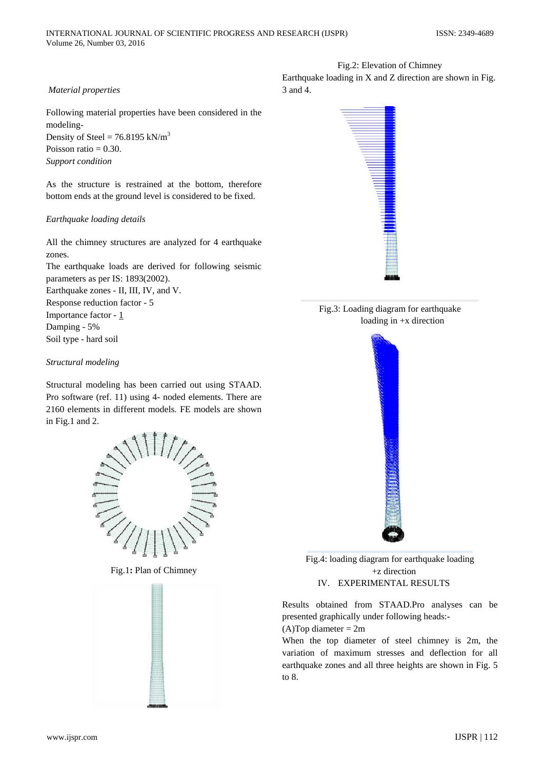## *Material properties*

Following material properties have been considered in the modeling-Density of Steel =  $76.8195$  kN/m<sup>3</sup> Poisson ratio  $= 0.30$ . *Support condition* 

As the structure is restrained at the bottom, therefore bottom ends at the ground level is considered to be fixed.

#### *Earthquake loading details*

All the chimney structures are analyzed for 4 earthquake zones.

The earthquake loads are derived for following seismic parameters as per IS: 1893(2002). Earthquake zones - II, III, IV, and V. Response reduction factor - 5

Importance factor - 1

Damping - 5%

Soil type - hard soil

## *Structural modeling*

Structural modeling has been carried out using STAAD. Pro software (ref. 11) using 4- noded elements. There are 2160 elements in different models. FE models are shown in Fig.1 and 2.



Fig.1**:** Plan of Chimney



Fig.2: Elevation of Chimney Earthquake loading in X and Z direction are shown in Fig. 3 and 4.







í Fig.4: loading diagram for earthquake loading +z direction IV. EXPERIMENTAL RESULTS

Results obtained from STAAD.Pro analyses can be presented graphically under following heads:-

 $(A)$ Top diameter = 2m

When the top diameter of steel chimney is 2m, the variation of maximum stresses and deflection for all earthquake zones and all three heights are shown in Fig. 5 to 8.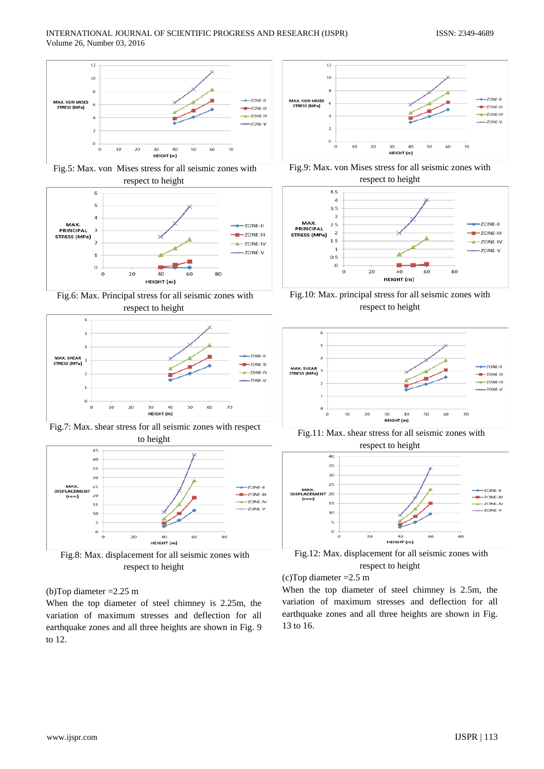

Fig.5: Max. von Mises stress for all seismic zones with respect to height







Fig.7: Max. shear stress for all seismic zones with respect to height



Fig.8: Max. displacement for all seismic zones with respect to height

#### (b)Top diameter =2.25 m

When the top diameter of steel chimney is 2.25m, the variation of maximum stresses and deflection for all earthquake zones and all three heights are shown in Fig. 9 to 12.











Fig.11: Max. shear stress for all seismic zones with respect to height



Fig.12: Max. displacement for all seismic zones with respect to height



When the top diameter of steel chimney is 2.5m, the variation of maximum stresses and deflection for all earthquake zones and all three heights are shown in Fig. 13 to 16.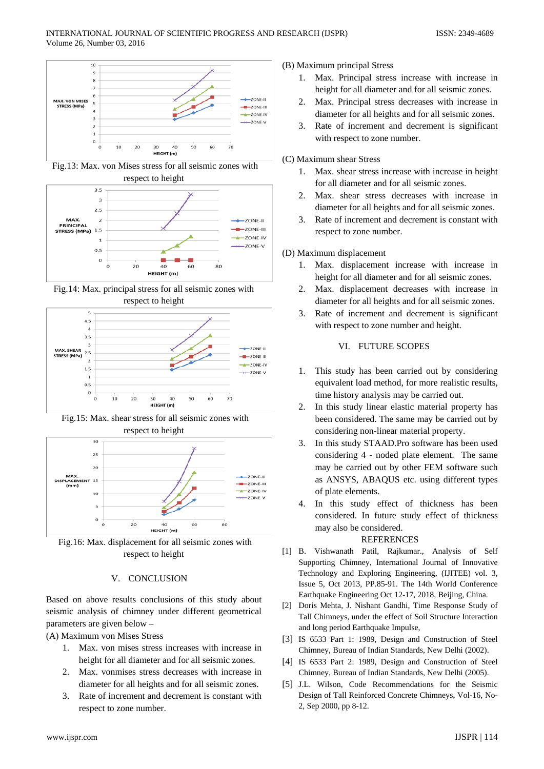

Fig.13: Max. von Mises stress for all seismic zones with respect to height



Fig.14: Max. principal stress for all seismic zones with respect to height



Fig.15: Max. shear stress for all seismic zones with respect to height



Fig.16: Max. displacement for all seismic zones with respect to height

## V. CONCLUSION

Based on above results conclusions of this study about seismic analysis of chimney under different geometrical parameters are given below –

(A) Maximum von Mises Stress

- 1. Max. von mises stress increases with increase in height for all diameter and for all seismic zones.
- 2. Max. vonmises stress decreases with increase in diameter for all heights and for all seismic zones.
- 3. Rate of increment and decrement is constant with respect to zone number.

## (B) Maximum principal Stress

- 1. Max. Principal stress increase with increase in height for all diameter and for all seismic zones.
- 2. Max. Principal stress decreases with increase in diameter for all heights and for all seismic zones.
- 3. Rate of increment and decrement is significant with respect to zone number.

### (C) Maximum shear Stress

- 1. Max. shear stress increase with increase in height for all diameter and for all seismic zones.
- 2. Max. shear stress decreases with increase in diameter for all heights and for all seismic zones.
- 3. Rate of increment and decrement is constant with respect to zone number.

## (D) Maximum displacement

- 1. Max. displacement increase with increase in height for all diameter and for all seismic zones.
- 2. Max. displacement decreases with increase in diameter for all heights and for all seismic zones.
- 3. Rate of increment and decrement is significant with respect to zone number and height.

# VI. FUTURE SCOPES

- 1. This study has been carried out by considering equivalent load method, for more realistic results, time history analysis may be carried out.
- 2. In this study linear elastic material property has been considered. The same may be carried out by considering non-linear material property.
- 3. In this study STAAD.Pro software has been used considering 4 - noded plate element. The same may be carried out by other FEM software such as ANSYS, ABAQUS etc. using different types of plate elements.
- 4. In this study effect of thickness has been considered. In future study effect of thickness may also be considered.

#### REFERENCES

- [1] B. Vishwanath Patil, Rajkumar., Analysis of Self Supporting Chimney, International Journal of Innovative Technology and Exploring Engineering, (IJITEE) vol. 3, Issue 5, Oct 2013, PP.85-91. The 14th World Conference Earthquake Engineering Oct 12-17, 2018, Beijing, China.
- [2] Doris Mehta, J. Nishant Gandhi, Time Response Study of Tall Chimneys, under the effect of Soil Structure Interaction and long period Earthquake Impulse,
- [3] IS 6533 Part 1: 1989, Design and Construction of Steel Chimney, Bureau of Indian Standards, New Delhi (2002).
- [4] IS 6533 Part 2: 1989, Design and Construction of Steel Chimney, Bureau of Indian Standards, New Delhi (2005).
- [5] J.L. Wilson, Code Recommendations for the Seismic Design of Tall Reinforced Concrete Chimneys, Vol-16, No-2, Sep 2000, pp 8-12.